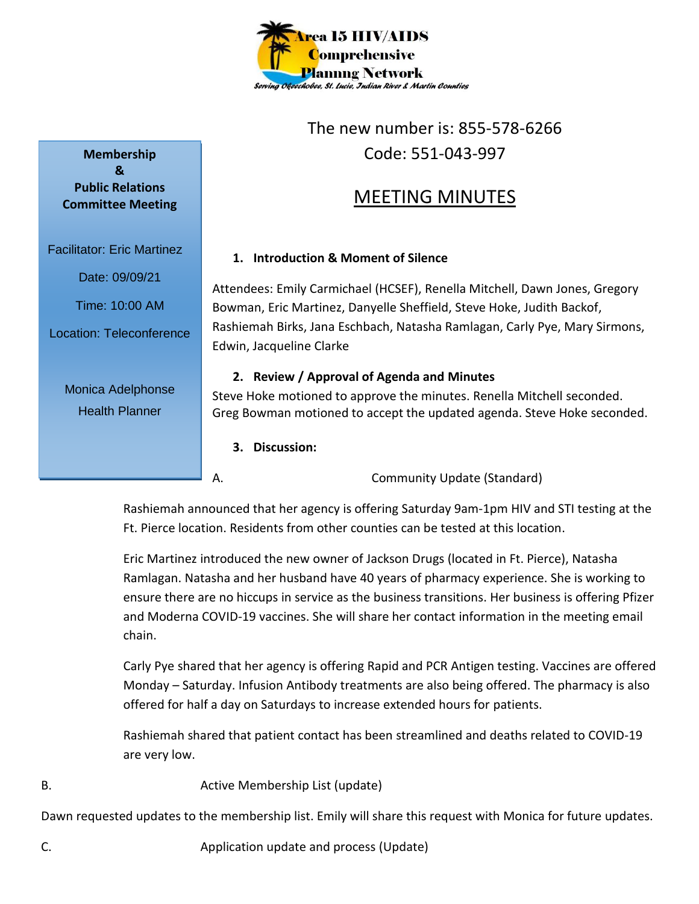

# The new number is: 855-578-6266 Code: 551-043-997

## MEETING MINUTES

### **1. Introduction & Moment of Silence**

Attendees: Emily Carmichael (HCSEF), Renella Mitchell, Dawn Jones, Gregory Bowman, Eric Martinez, Danyelle Sheffield, Steve Hoke, Judith Backof, Rashiemah Birks, Jana Eschbach, Natasha Ramlagan, Carly Pye, Mary Sirmons, Edwin, Jacqueline Clarke

#### **2. Review / Approval of Agenda and Minutes**

Steve Hoke motioned to approve the minutes. Renella Mitchell seconded. Greg Bowman motioned to accept the updated agenda. Steve Hoke seconded.

**3. Discussion:**

A. Community Update (Standard)

Rashiemah announced that her agency is offering Saturday 9am-1pm HIV and STI testing at the Ft. Pierce location. Residents from other counties can be tested at this location.

Eric Martinez introduced the new owner of Jackson Drugs (located in Ft. Pierce), Natasha Ramlagan. Natasha and her husband have 40 years of pharmacy experience. She is working to ensure there are no hiccups in service as the business transitions. Her business is offering Pfizer and Moderna COVID-19 vaccines. She will share her contact information in the meeting email chain.

Carly Pye shared that her agency is offering Rapid and PCR Antigen testing. Vaccines are offered Monday – Saturday. Infusion Antibody treatments are also being offered. The pharmacy is also offered for half a day on Saturdays to increase extended hours for patients.

Rashiemah shared that patient contact has been streamlined and deaths related to COVID-19 are very low.

B. Active Membership List (update)

Dawn requested updates to the membership list. Emily will share this request with Monica for future updates.

C. Application update and process (Update)

**Membership & Public Relations Committee Meeting**

Facilitator: Eric Martinez

Date: 09/09/21

Time: 10:00 AM

Location: Teleconference

Monica Adelphonse Health Planner